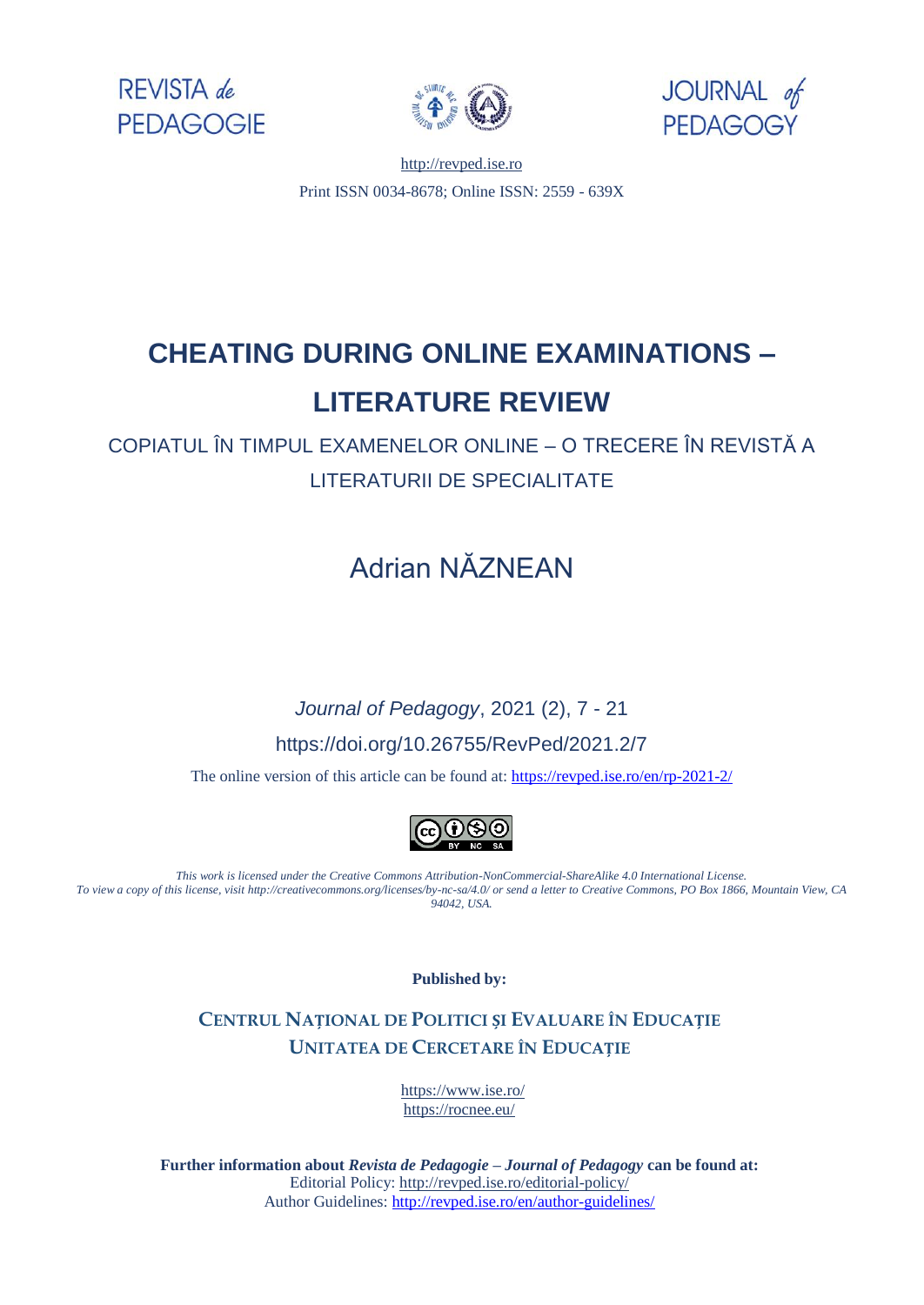





[http://revped.ise.ro](http://revped.ise.ro/) Print ISSN 0034-8678; Online ISSN: 2559 - 639X

# **CHEATING DURING ONLINE EXAMINATIONS – LITERATURE REVIEW**

COPIATUL ÎN TIMPUL EXAMENELOR ONLINE – O TRECERE ÎN REVISTĂ A LITERATURII DE SPECIALITATE

# Adrian NĂZNEAN

# *Journal of Pedagogy*, 2021 (2), 7 - 21 https://doi.org/10.26755/RevPed/2021.2/7

The online version of this article can be found at[: https://revped.ise.ro/en/rp-2021-2/](https://revped.ise.ro/en/rp-2021-2/)



*This work is licensed under the Creative Commons Attribution-NonCommercial-ShareAlike 4.0 International License. To view a copy of this license, visit http://creativecommons.org/licenses/by-nc-sa/4.0/ or send a letter to Creative Commons, PO Box 1866, Mountain View, CA 94042, USA.* 

**Published by:** 

#### **CENTRUL NAȚIONAL DE P[OLITICI](http://www.ise.ro/) ȘI EVALUARE ÎN EDUCAȚIE UNITATEA DE CERCETARE ÎN EDUCAȚIE**

https://www.ise.ro/ [https://rocnee.eu/](http://revped.ise.ro/editorial-policy/) 

**Further information about** *Revista de Pedagogie – Journal of Pedagogy* **can be found at:**  Editorial Policy: http://revped.ise.ro/editorial-policy/ Author Guidelines: http://revped.ise.ro/en/author-guidelines/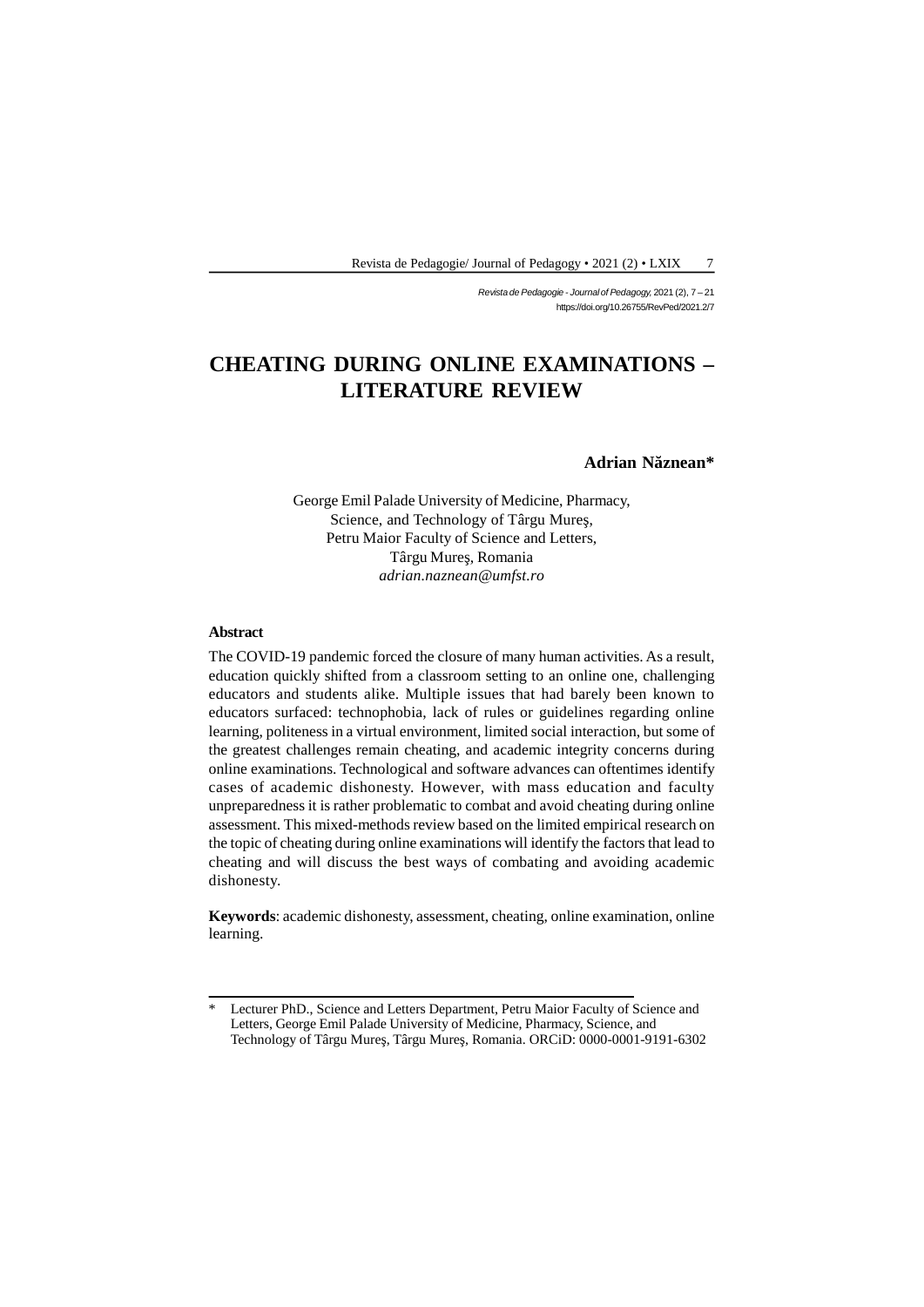*Revista de Pedagogie - Journal of Pedagogy,* 2021 (2), 7 – 21 https://doi.org/10.26755/RevPed/2021.2/7

# **CHEATING DURING ONLINE EXAMINATIONS – LITERATURE REVIEW**

#### Adrian N znean\*

George Emil Palade University of Medicine, Pharmacy, Science, and Technology of Târgu Mure, Petru Maior Faculty of Science and Letters, Târgu Mure, Romania *adrian.naznean@umfst.ro*

#### **Abstract**

The COVID-19 pandemic forced the closure of many human activities. As a result, education quickly shifted from a classroom setting to an online one, challenging educators and students alike. Multiple issues that had barely been known to educators surfaced: technophobia, lack of rules or guidelines regarding online learning, politeness in a virtual environment, limited social interaction, but some of the greatest challenges remain cheating, and academic integrity concerns during online examinations. Technological and software advances can oftentimes identify cases of academic dishonesty. However, with mass education and faculty unpreparedness it is rather problematic to combat and avoid cheating during online assessment. This mixed-methods review based on the limited empirical research on the topic of cheating during online examinations will identify the factors that lead to cheating and will discuss the best ways of combating and avoiding academic dishonesty. assessment. This mixed-methods review based on the limited empirical research on<br>the topic of cheating during online examinations will identify the factors that lead to<br>cheating and will discuss the best ways of combating

learning.

<sup>\*</sup> Lecturer PhD., Science and Letters Department, Petru Maior Faculty of Science and Letters, George Emil Palade University of Medicine, Pharmacy, Science, and Technology of Târgu Mureş, Târgu Mureş, Romania. ORCiD: 0000-0001-9191-6302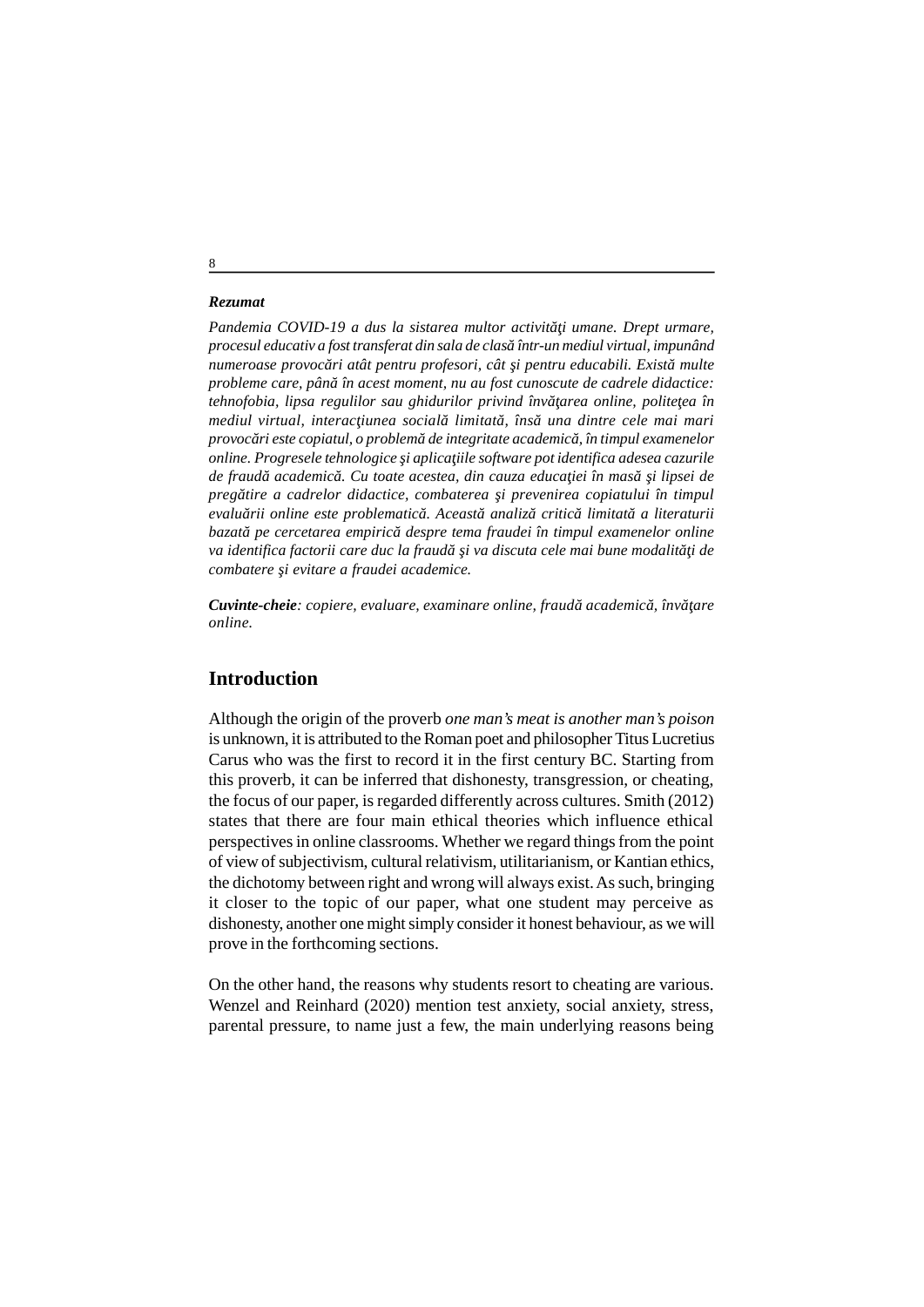#### *Rezumat*

Pandemia COVID-19 a dus la sistarea multor activit *i umane. Drept urmare*, *procesul educativ a fost transferat din sala de clasă într-un mediul virtual, impunând numeroase provoc ri atât pentru profesori, cât i pentru educabili. Exist multe probleme care, pân* în acest moment, nu au fost cunoscute de cadrele didactice: *tehnofobia, lipsa regulilor sau ghidurilor privind înv area online, polite ea în mediul virtual, interac iunea social limitat, îns una dintre cele mai mari provocări este copiatul, o problemă de integritate academică, în timpul examenelor online. Progresele tehnologice i aplica iile software pot identifica adesea cazurile* de fraud academico. Cu toate acestea, din cauza educa *iei în mas* i lipsei de *pregătire a cadrelor didactice, combaterea şi prevenirea copiatului în timpul evaluării online este problematică. Această analiză critică limitată a literaturii bazată pe cercetarea empirică despre tema fraudei în timpul examenelor online va identifica factorii care duc la fraud*ă *i va discuta cele mai bune modalit i de*  $combatere$  *i evitare a fraudei academice.* 

*Cuvinte-cheie: copiere, evaluare, examinare online, fraud academic, înv are online.*

## **Introduction**

Although the origin of the proverb *one man's meat is another man's poison* is unknown, it is attributed to the Roman poet and philosopher Titus Lucretius Carus who was the first to record it in the first century BC. Starting from this proverb, it can be inferred that dishonesty, transgression, or cheating, the focus of our paper, is regarded differently across cultures. Smith (2012) states that there are four main ethical theories which influence ethical perspectives in online classrooms. Whether we regard things from the point of view of subjectivism, cultural relativism, utilitarianism, or Kantian ethics, the dichotomy between right and wrong will always exist. As such, bringing it closer to the topic of our paper, what one student may perceive as dishonesty, another one might simply consider it honest behaviour, as we will prove in the forthcoming sections.

On the other hand, the reasons why students resort to cheating are various. Wenzel and Reinhard (2020) mention test anxiety, social anxiety, stress, parental pressure, to name just a few, the main underlying reasons being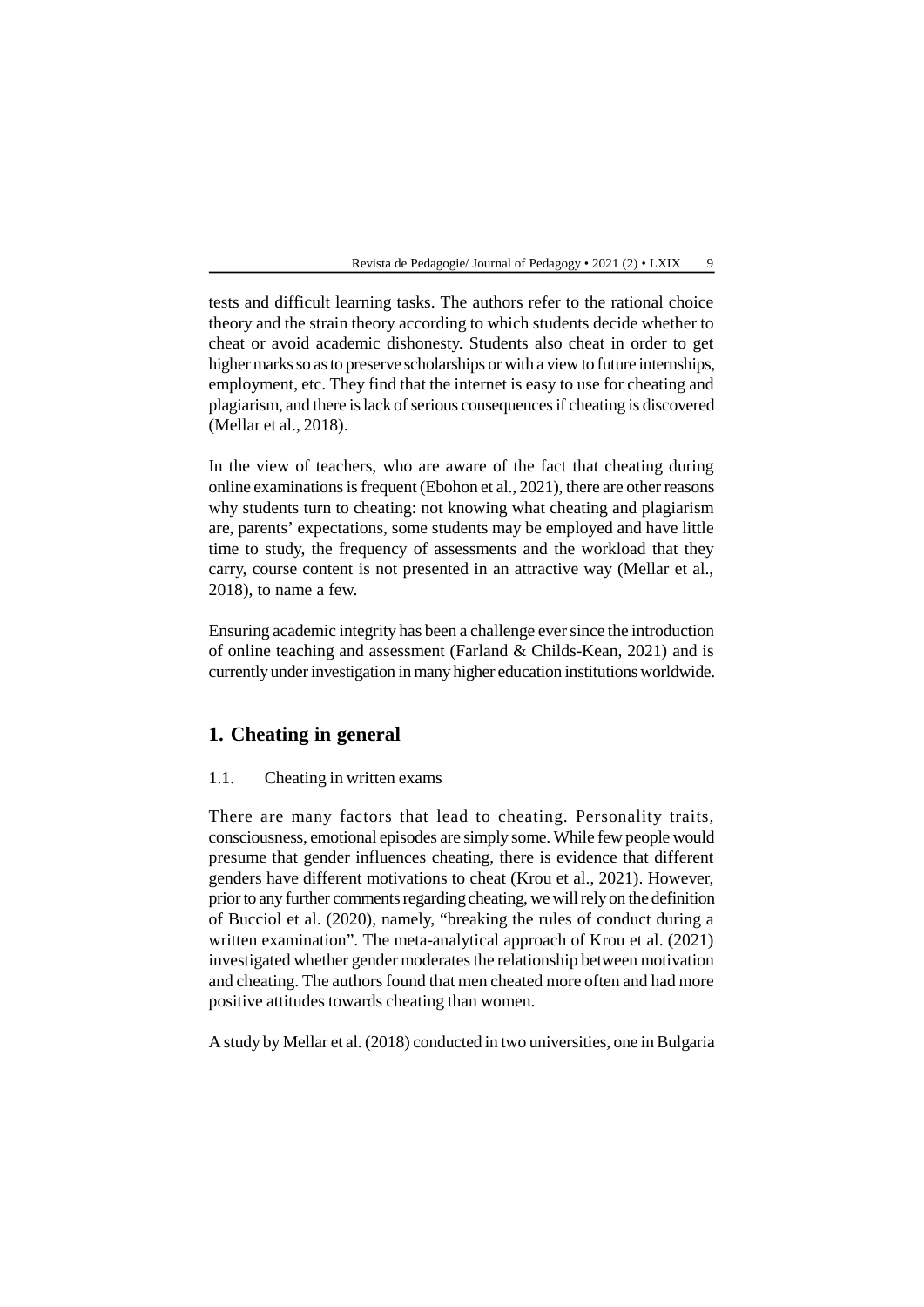tests and difficult learning tasks. The authors refer to the rational choice theory and the strain theory according to which students decide whether to cheat or avoid academic dishonesty. Students also cheat in order to get higher marks so as to preserve scholarships or with a view to future internships, employment, etc. They find that the internet is easy to use for cheating and plagiarism, and there is lack of serious consequences if cheating is discovered (Mellar et al., 2018).

In the view of teachers, who are aware of the fact that cheating during online examinations is frequent (Ebohon et al., 2021), there are other reasons why students turn to cheating: not knowing what cheating and plagiarism are, parents' expectations, some students may be employed and have little time to study, the frequency of assessments and the workload that they carry, course content is not presented in an attractive way (Mellar et al., 2018), to name a few.

Ensuring academic integrity has been a challenge ever since the introduction of online teaching and assessment (Farland & Childs-Kean, 2021) and is currently under investigation in many higher education institutions worldwide.

# **1. Cheating in general**

#### 1.1. Cheating in written exams

There are many factors that lead to cheating. Personality traits, consciousness, emotional episodes are simply some. While few people would presume that gender influences cheating, there is evidence that different genders have different motivations to cheat (Krou et al., 2021). However, prior to any further comments regarding cheating, we will rely on the definition of Bucciol et al. (2020), namely, "breaking the rules of conduct during a written examination". The meta-analytical approach of Krou et al. (2021) investigated whether gender moderates the relationship between motivation and cheating. The authors found that men cheated more often and had more positive attitudes towards cheating than women.

A study by Mellar et al. (2018) conducted in two universities, one in Bulgaria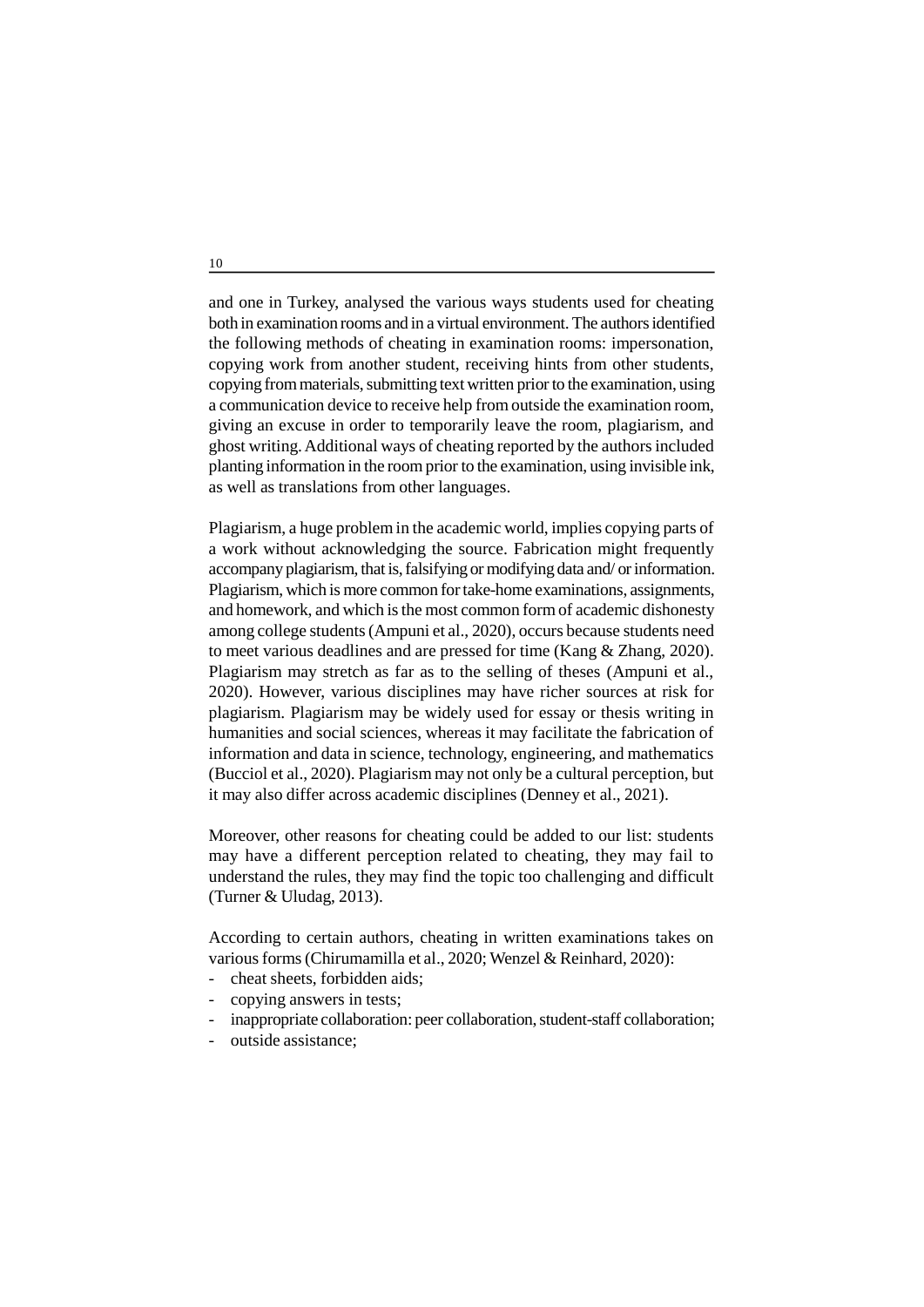and one in Turkey, analysed the various ways students used for cheating both in examination rooms and in a virtual environment. The authors identified the following methods of cheating in examination rooms: impersonation, copying work from another student, receiving hints from other students, copying from materials, submitting text written prior to the examination, using a communication device to receive help from outside the examination room, giving an excuse in order to temporarily leave the room, plagiarism, and ghost writing. Additional ways of cheating reported by the authors included planting information in the room prior to the examination, using invisible ink, as well as translations from other languages.

Plagiarism, a huge problem in the academic world, implies copying parts of a work without acknowledging the source. Fabrication might frequently accompany plagiarism, that is, falsifying or modifying data and/ or information. Plagiarism, which is more common for take-home examinations, assignments, and homework, and which is the most common form of academic dishonesty among college students (Ampuni et al., 2020), occurs because students need to meet various deadlines and are pressed for time (Kang & Zhang, 2020). Plagiarism may stretch as far as to the selling of theses (Ampuni et al., 2020). However, various disciplines may have richer sources at risk for plagiarism. Plagiarism may be widely used for essay or thesis writing in humanities and social sciences, whereas it may facilitate the fabrication of information and data in science, technology, engineering, and mathematics (Bucciol et al., 2020). Plagiarism may not only be a cultural perception, but it may also differ across academic disciplines (Denney et al., 2021).

Moreover, other reasons for cheating could be added to our list: students may have a different perception related to cheating, they may fail to understand the rules, they may find the topic too challenging and difficult (Turner & Uludag, 2013).

According to certain authors, cheating in written examinations takes on various forms (Chirumamilla et al., 2020; Wenzel & Reinhard, 2020):

- cheat sheets, forbidden aids;
- copying answers in tests;
- inappropriate collaboration: peer collaboration, student-staff collaboration;
- outside assistance: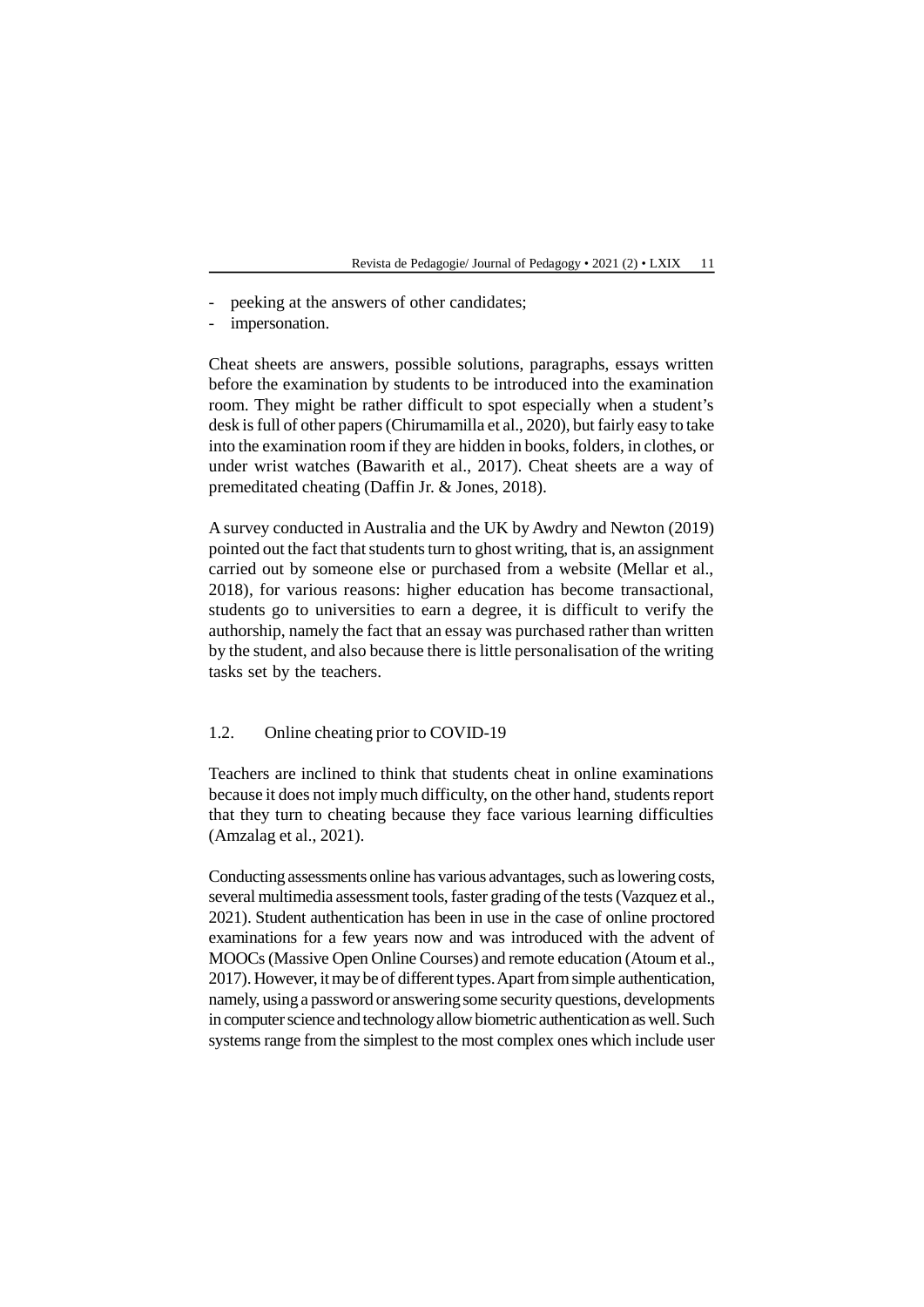- peeking at the answers of other candidates;
- impersonation.

Cheat sheets are answers, possible solutions, paragraphs, essays written before the examination by students to be introduced into the examination room. They might be rather difficult to spot especially when a student's desk is full of other papers (Chirumamilla et al., 2020), but fairly easy to take into the examination room if they are hidden in books, folders, in clothes, or under wrist watches (Bawarith et al., 2017). Cheat sheets are a way of premeditated cheating (Daffin Jr. & Jones, 2018).

A survey conducted in Australia and the UK by Awdry and Newton (2019) pointed out the fact that students turn to ghost writing, that is, an assignment carried out by someone else or purchased from a website (Mellar et al., 2018), for various reasons: higher education has become transactional, students go to universities to earn a degree, it is difficult to verify the authorship, namely the fact that an essay was purchased rather than written by the student, and also because there is little personalisation of the writing tasks set by the teachers.

### 1.2. Online cheating prior to COVID-19

Teachers are inclined to think that students cheat in online examinations because it does not imply much difficulty, on the other hand, students report that they turn to cheating because they face various learning difficulties (Amzalag et al., 2021).

Conducting assessments online has various advantages, such as lowering costs, several multimedia assessment tools, faster grading of the tests (Vazquez et al., 2021). Student authentication has been in use in the case of online proctored examinations for a few years now and was introduced with the advent of MOOCs (Massive Open Online Courses) and remote education (Atoum et al., 2017). However, it may be of different types. Apart from simple authentication, namely, using a password or answering some security questions, developments in computer science and technology allow biometric authentication as well. Such systems range from the simplest to the most complex ones which include user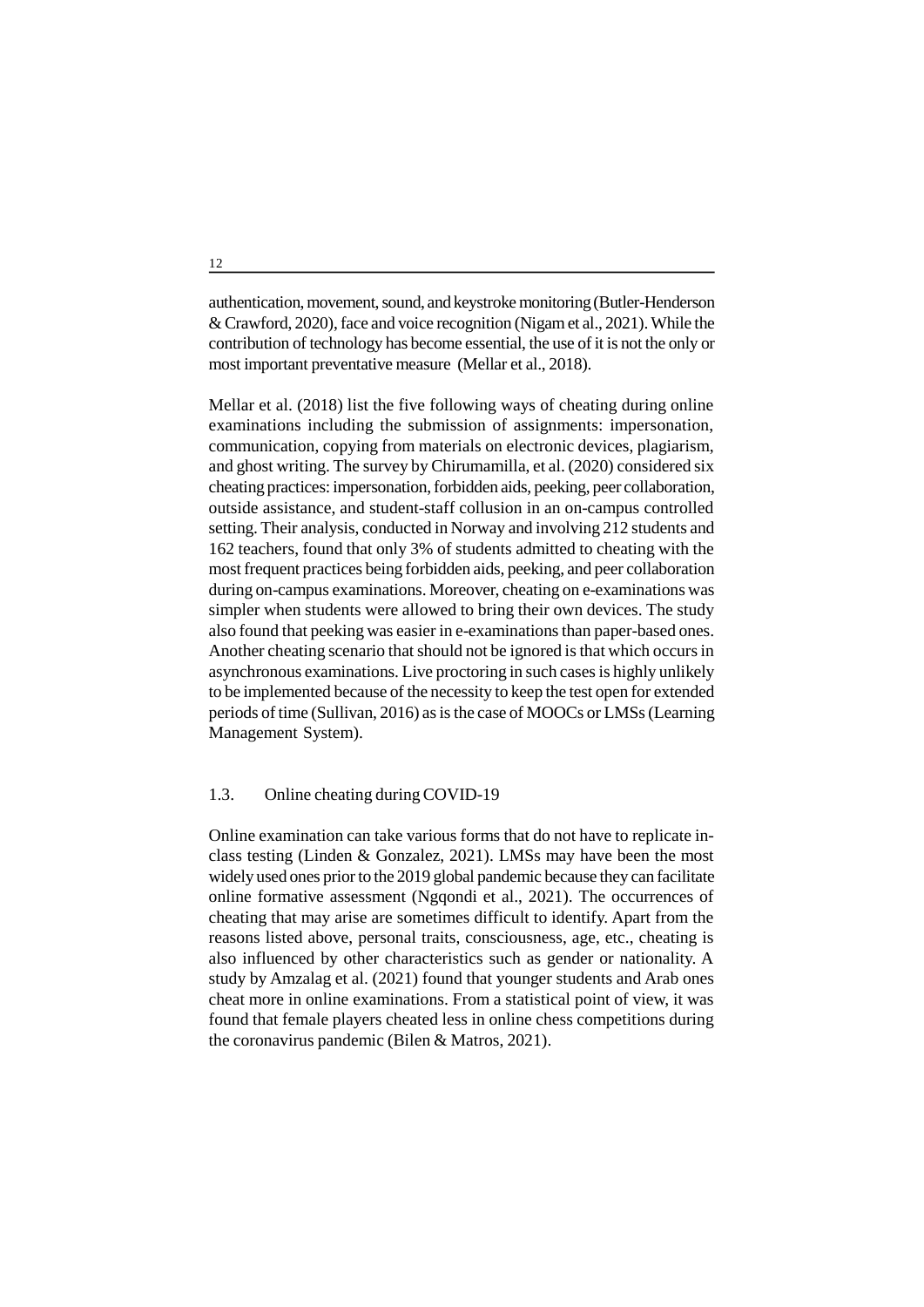authentication, movement, sound, and keystroke monitoring (Butler-Henderson & Crawford, 2020), face and voice recognition (Nigam et al., 2021). While the contribution of technology has become essential, the use of it is not the only or most important preventative measure (Mellar et al., 2018).

Mellar et al. (2018) list the five following ways of cheating during online examinations including the submission of assignments: impersonation, communication, copying from materials on electronic devices, plagiarism, and ghost writing. The survey by Chirumamilla, et al. (2020) considered six cheating practices: impersonation, forbidden aids, peeking, peer collaboration, outside assistance, and student-staff collusion in an on-campus controlled setting. Their analysis, conducted in Norway and involving 212 students and 162 teachers, found that only 3% of students admitted to cheating with the most frequent practices being forbidden aids, peeking, and peer collaboration during on-campus examinations. Moreover, cheating on e-examinations was simpler when students were allowed to bring their own devices. The study also found that peeking was easier in e-examinations than paper-based ones. Another cheating scenario that should not be ignored is that which occurs in asynchronous examinations. Live proctoring in such cases is highly unlikely to be implemented because of the necessity to keep the test open for extended periods of time (Sullivan, 2016) as is the case of MOOCs or LMSs (Learning Management System).

#### 1.3. Online cheating during COVID-19

Online examination can take various forms that do not have to replicate inclass testing (Linden & Gonzalez, 2021). LMSs may have been the most widely used ones prior to the 2019 global pandemic because they can facilitate online formative assessment (Ngqondi et al., 2021). The occurrences of cheating that may arise are sometimes difficult to identify. Apart from the reasons listed above, personal traits, consciousness, age, etc., cheating is also influenced by other characteristics such as gender or nationality. A study by Amzalag et al. (2021) found that younger students and Arab ones cheat more in online examinations. From a statistical point of view, it was found that female players cheated less in online chess competitions during the coronavirus pandemic (Bilen & Matros, 2021).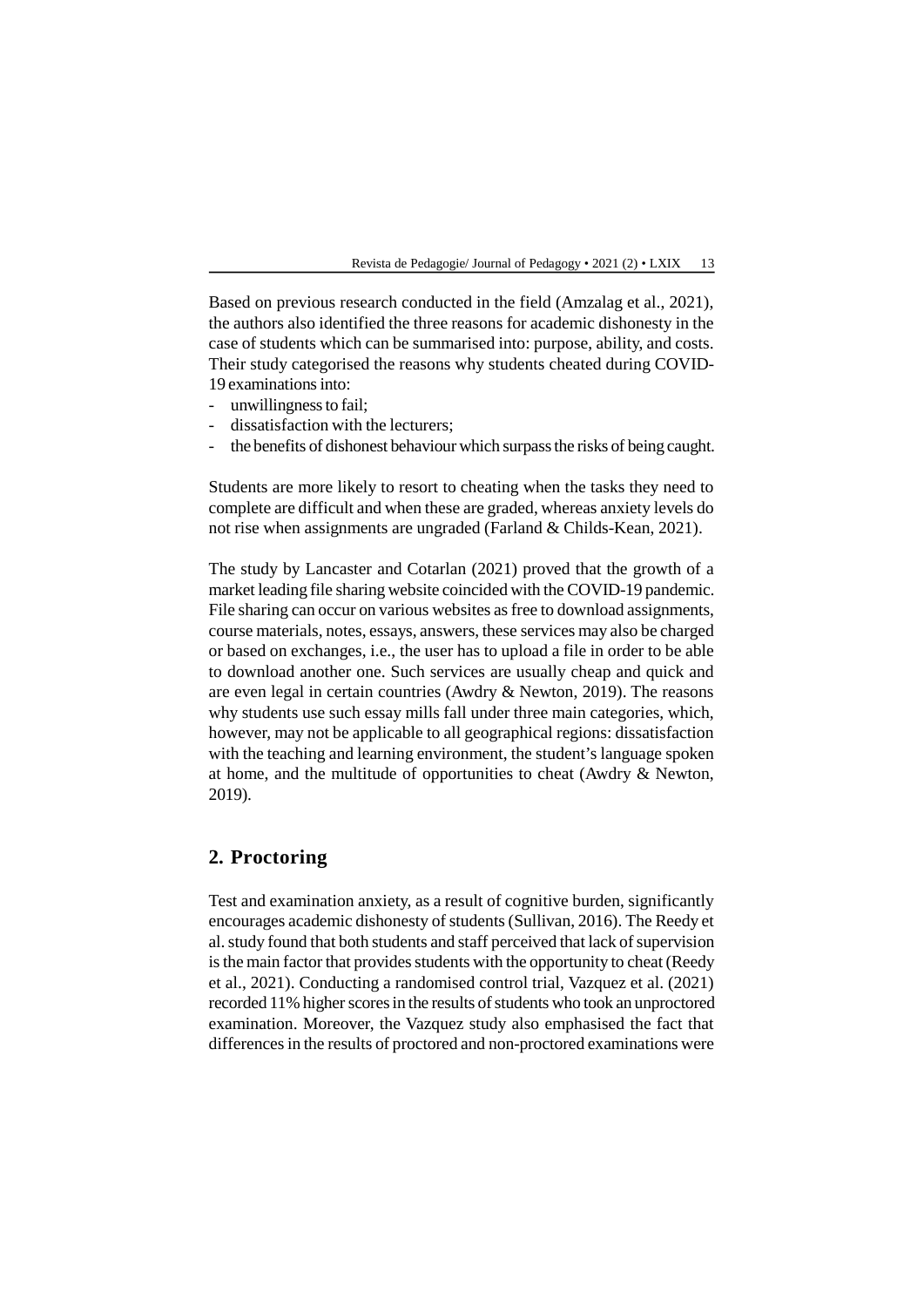Based on previous research conducted in the field (Amzalag et al., 2021), the authors also identified the three reasons for academic dishonesty in the case of students which can be summarised into: purpose, ability, and costs. Their study categorised the reasons why students cheated during COVID-19 examinations into:

- unwillingness to fail;
- dissatisfaction with the lecturers;
- the benefits of dishonest behaviour which surpass the risks of being caught.

Students are more likely to resort to cheating when the tasks they need to complete are difficult and when these are graded, whereas anxiety levels do not rise when assignments are ungraded (Farland & Childs-Kean, 2021).

The study by Lancaster and Cotarlan (2021) proved that the growth of a market leading file sharing website coincided with the COVID-19 pandemic. File sharing can occur on various websites as free to download assignments, course materials, notes, essays, answers, these services may also be charged or based on exchanges, i.e., the user has to upload a file in order to be able to download another one. Such services are usually cheap and quick and are even legal in certain countries (Awdry & Newton, 2019). The reasons why students use such essay mills fall under three main categories, which, however, may not be applicable to all geographical regions: dissatisfaction with the teaching and learning environment, the student's language spoken at home, and the multitude of opportunities to cheat (Awdry & Newton, 2019).

# **2. Proctoring**

Test and examination anxiety, as a result of cognitive burden, significantly encourages academic dishonesty of students (Sullivan, 2016). The Reedy et al. study found that both students and staff perceived that lack of supervision is the main factor that provides students with the opportunity to cheat (Reedy et al., 2021). Conducting a randomised control trial, Vazquez et al. (2021) recorded 11% higher scores in the results of students who took an unproctored examination. Moreover, the Vazquez study also emphasised the fact that differences in the results of proctored and non-proctored examinations were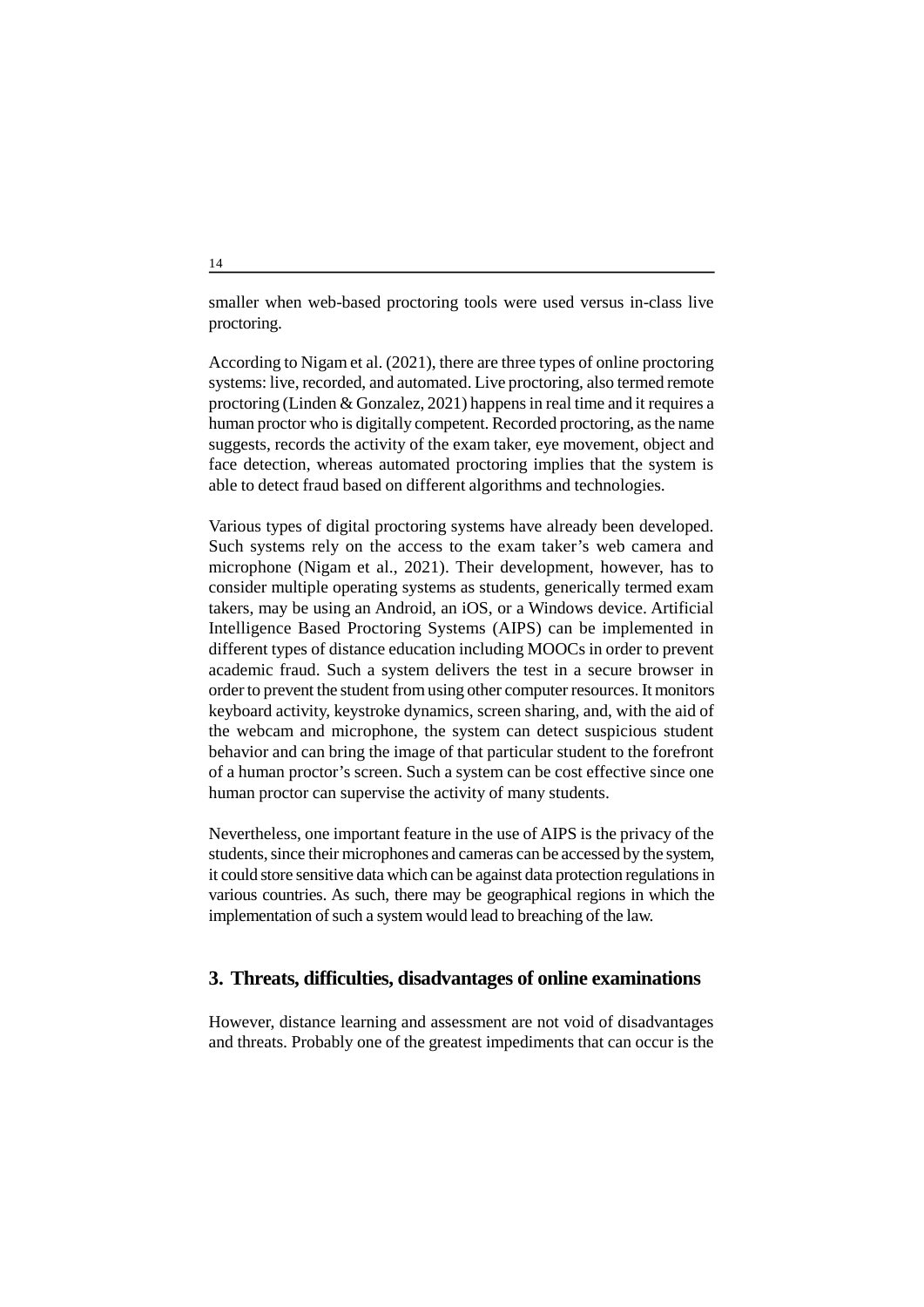smaller when web-based proctoring tools were used versus in-class live proctoring.

According to Nigam et al. (2021), there are three types of online proctoring systems: live, recorded, and automated. Live proctoring, also termed remote proctoring (Linden & Gonzalez, 2021) happens in real time and it requires a human proctor who is digitally competent. Recorded proctoring, as the name suggests, records the activity of the exam taker, eye movement, object and face detection, whereas automated proctoring implies that the system is able to detect fraud based on different algorithms and technologies.

Various types of digital proctoring systems have already been developed. Such systems rely on the access to the exam taker's web camera and microphone (Nigam et al., 2021). Their development, however, has to consider multiple operating systems as students, generically termed exam takers, may be using an Android, an iOS, or a Windows device. Artificial Intelligence Based Proctoring Systems (AIPS) can be implemented in different types of distance education including MOOCs in order to prevent academic fraud. Such a system delivers the test in a secure browser in order to prevent the student from using other computer resources. It monitors keyboard activity, keystroke dynamics, screen sharing, and, with the aid of the webcam and microphone, the system can detect suspicious student behavior and can bring the image of that particular student to the forefront of a human proctor's screen. Such a system can be cost effective since one human proctor can supervise the activity of many students.

Nevertheless, one important feature in the use of AIPS is the privacy of the students, since their microphones and cameras can be accessed by the system, it could store sensitive data which can be against data protection regulations in various countries. As such, there may be geographical regions in which the implementation of such a system would lead to breaching of the law.

## **3. Threats, difficulties, disadvantages of online examinations**

However, distance learning and assessment are not void of disadvantages and threats. Probably one of the greatest impediments that can occur is the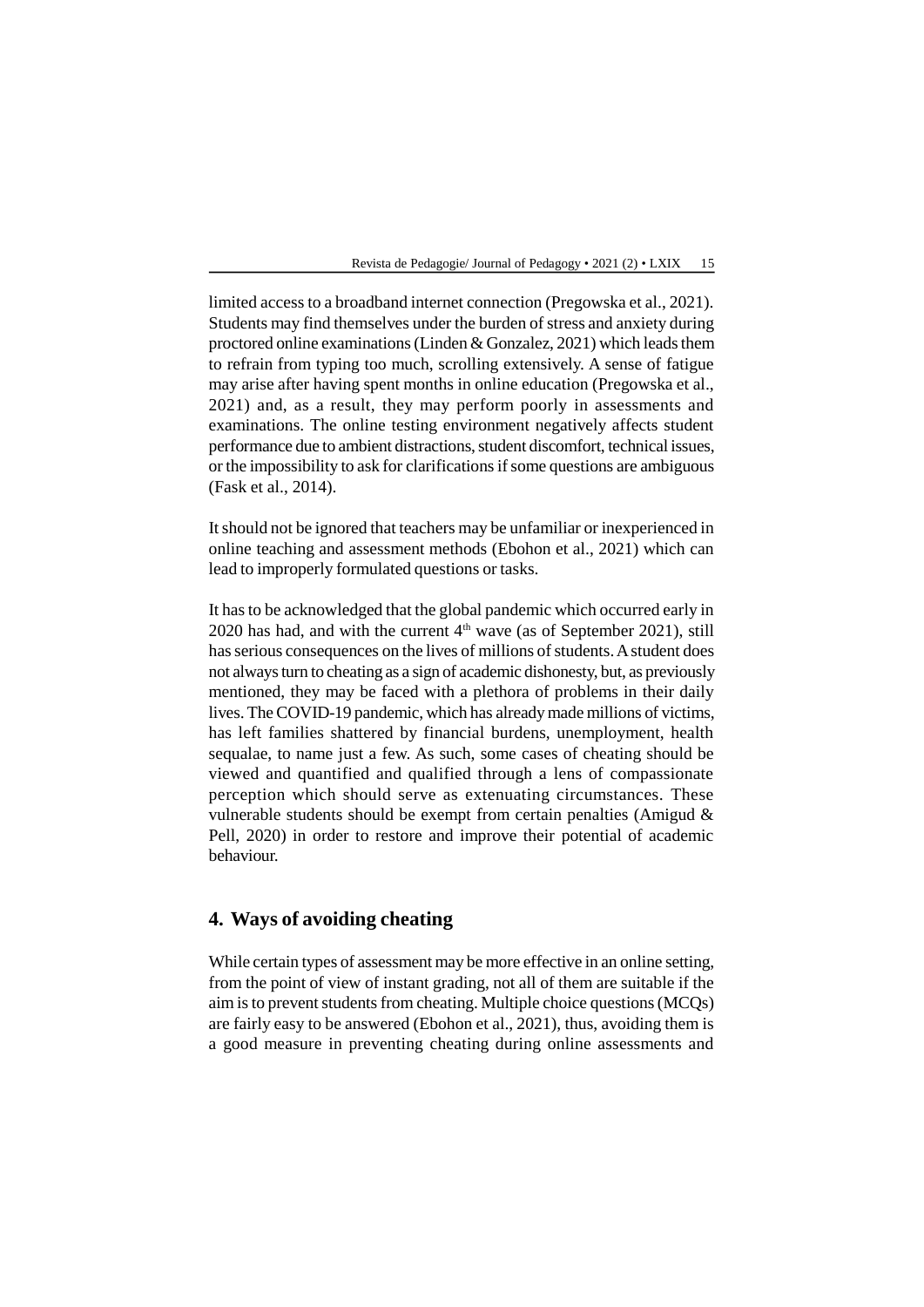limited access to a broadband internet connection (Pregowska et al., 2021). Students may find themselves under the burden of stress and anxiety during proctored online examinations (Linden & Gonzalez, 2021) which leads them to refrain from typing too much, scrolling extensively. A sense of fatigue may arise after having spent months in online education (Pregowska et al., 2021) and, as a result, they may perform poorly in assessments and examinations. The online testing environment negatively affects student performance due to ambient distractions, student discomfort, technical issues, or the impossibility to ask for clarifications if some questions are ambiguous (Fask et al., 2014).

It should not be ignored that teachers may be unfamiliar or inexperienced in online teaching and assessment methods (Ebohon et al., 2021) which can lead to improperly formulated questions or tasks.

It has to be acknowledged that the global pandemic which occurred early in 2020 has had, and with the current  $4<sup>th</sup>$  wave (as of September 2021), still has serious consequences on the lives of millions of students. A student does not always turn to cheating as a sign of academic dishonesty, but, as previously mentioned, they may be faced with a plethora of problems in their daily lives. The COVID-19 pandemic, which has already made millions of victims, has left families shattered by financial burdens, unemployment, health sequalae, to name just a few. As such, some cases of cheating should be viewed and quantified and qualified through a lens of compassionate perception which should serve as extenuating circumstances. These vulnerable students should be exempt from certain penalties (Amigud & Pell, 2020) in order to restore and improve their potential of academic behaviour.

## **4. Ways of avoiding cheating**

While certain types of assessment may be more effective in an online setting, from the point of view of instant grading, not all of them are suitable if the aim is to prevent students from cheating. Multiple choice questions (MCQs) are fairly easy to be answered (Ebohon et al., 2021), thus, avoiding them is a good measure in preventing cheating during online assessments and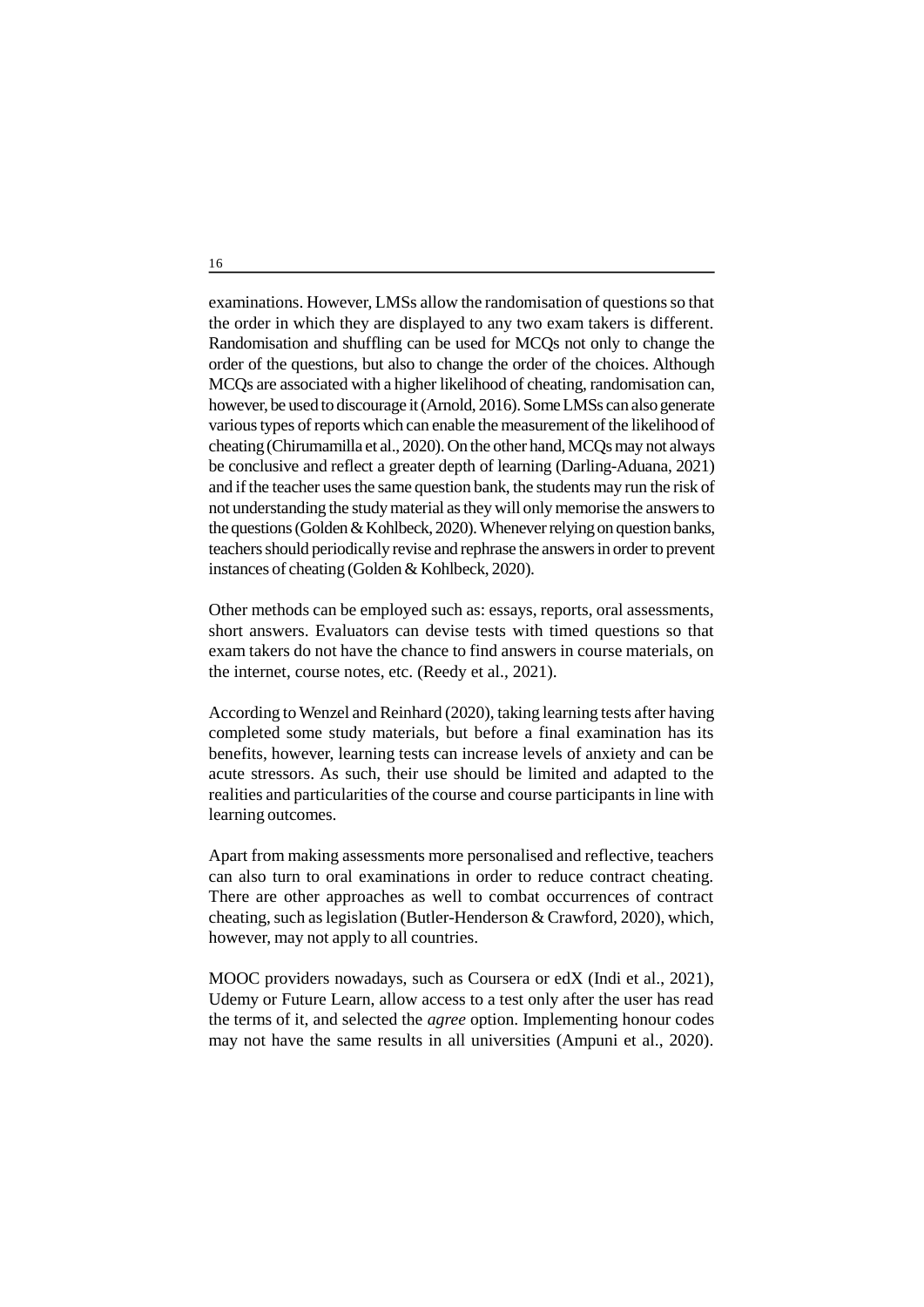examinations. However, LMSs allow the randomisation of questions so that the order in which they are displayed to any two exam takers is different. Randomisation and shuffling can be used for MCQs not only to change the order of the questions, but also to change the order of the choices. Although MCQs are associated with a higher likelihood of cheating, randomisation can, however, be used to discourage it (Arnold, 2016). Some LMSs can also generate various types of reports which can enable the measurement of the likelihood of cheating (Chirumamilla et al., 2020). On the other hand, MCQs may not always be conclusive and reflect a greater depth of learning (Darling-Aduana, 2021) and if the teacher uses the same question bank, the students may run the risk of not understanding the study material as they will only memorise the answers to the questions (Golden & Kohlbeck, 2020). Whenever relying on question banks, teachers should periodically revise and rephrase the answers in order to prevent instances of cheating (Golden & Kohlbeck, 2020).

Other methods can be employed such as: essays, reports, oral assessments, short answers. Evaluators can devise tests with timed questions so that exam takers do not have the chance to find answers in course materials, on the internet, course notes, etc. (Reedy et al., 2021).

According to Wenzel and Reinhard (2020), taking learning tests after having completed some study materials, but before a final examination has its benefits, however, learning tests can increase levels of anxiety and can be acute stressors. As such, their use should be limited and adapted to the realities and particularities of the course and course participants in line with learning outcomes.

Apart from making assessments more personalised and reflective, teachers can also turn to oral examinations in order to reduce contract cheating. There are other approaches as well to combat occurrences of contract cheating, such as legislation (Butler-Henderson & Crawford, 2020), which, however, may not apply to all countries.

MOOC providers nowadays, such as Coursera or edX (Indi et al., 2021), Udemy or Future Learn, allow access to a test only after the user has read the terms of it, and selected the *agree* option. Implementing honour codes may not have the same results in all universities (Ampuni et al., 2020).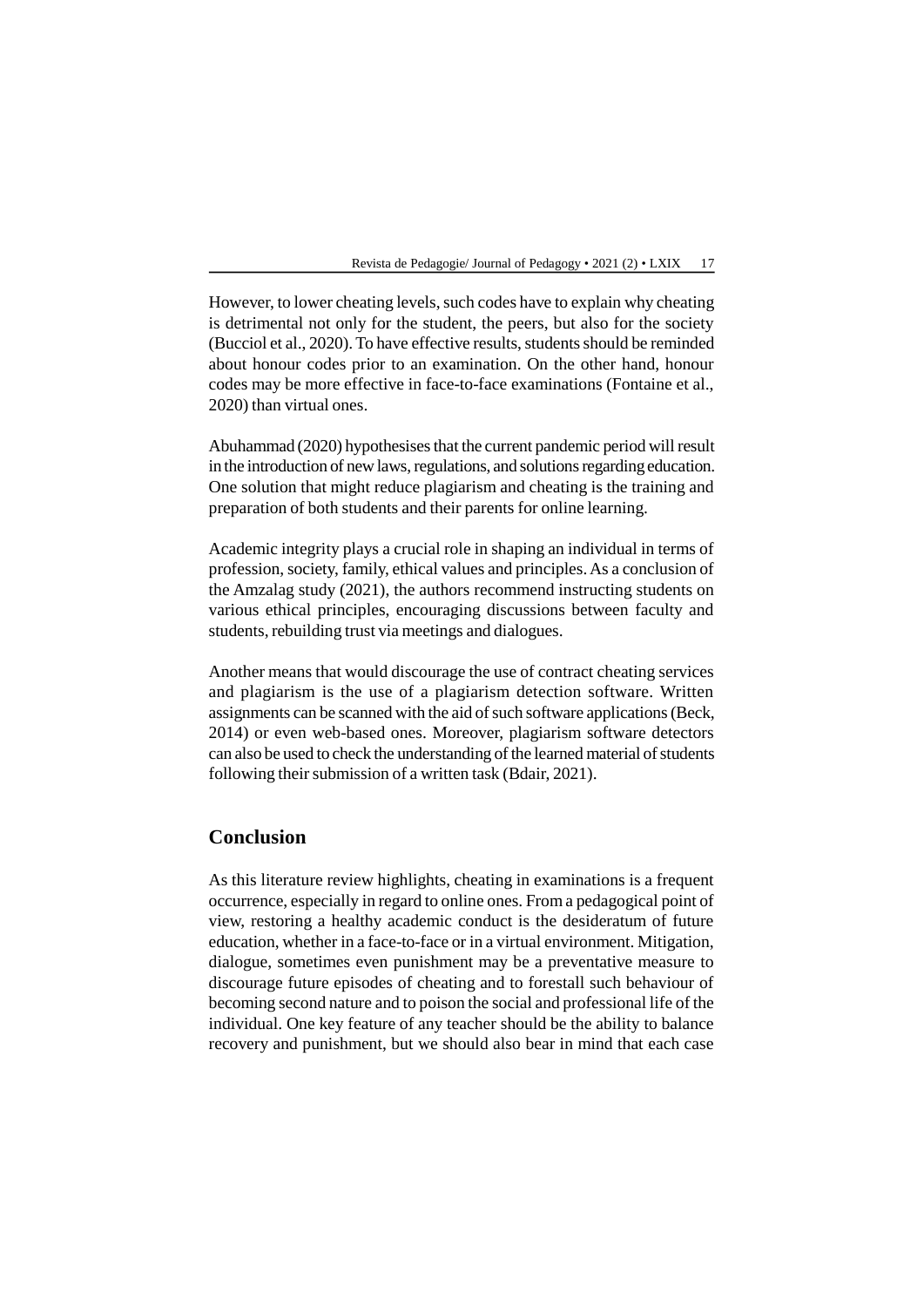However, to lower cheating levels, such codes have to explain why cheating is detrimental not only for the student, the peers, but also for the society (Bucciol et al., 2020). To have effective results, students should be reminded about honour codes prior to an examination. On the other hand, honour codes may be more effective in face-to-face examinations (Fontaine et al., 2020) than virtual ones.

Abuhammad (2020) hypothesises that the current pandemic period will result in the introduction of new laws, regulations, and solutions regarding education. One solution that might reduce plagiarism and cheating is the training and preparation of both students and their parents for online learning.

Academic integrity plays a crucial role in shaping an individual in terms of profession, society, family, ethical values and principles. As a conclusion of the Amzalag study (2021), the authors recommend instructing students on various ethical principles, encouraging discussions between faculty and students, rebuilding trust via meetings and dialogues.

Another means that would discourage the use of contract cheating services and plagiarism is the use of a plagiarism detection software. Written assignments can be scanned with the aid of such software applications (Beck, 2014) or even web-based ones. Moreover, plagiarism software detectors can also be used to check the understanding of the learned material of students following their submission of a written task (Bdair, 2021).

# **Conclusion**

As this literature review highlights, cheating in examinations is a frequent occurrence, especially in regard to online ones. From a pedagogical point of view, restoring a healthy academic conduct is the desideratum of future education, whether in a face-to-face or in a virtual environment. Mitigation, dialogue, sometimes even punishment may be a preventative measure to discourage future episodes of cheating and to forestall such behaviour of becoming second nature and to poison the social and professional life of the individual. One key feature of any teacher should be the ability to balance recovery and punishment, but we should also bear in mind that each case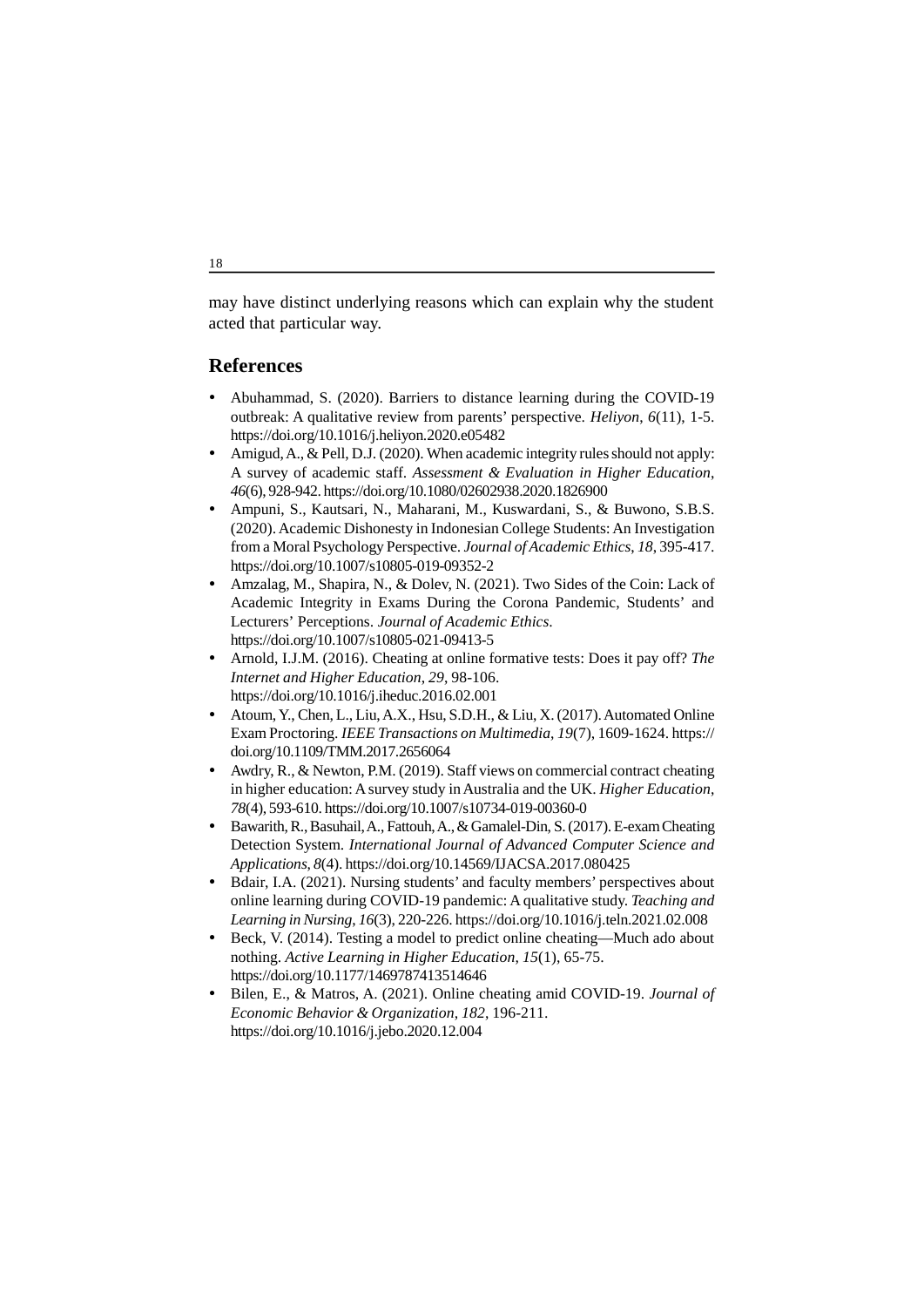may have distinct underlying reasons which can explain why the student acted that particular way.

# **References**

- Abuhammad, S. (2020). Barriers to distance learning during the COVID-19 outbreak: A qualitative review from parents' perspective. *Heliyon*, *6*(11), 1-5. https://doi.org/10.1016/j.heliyon.2020.e05482
- Amigud, A., & Pell, D.J. (2020). When academic integrity rules should not apply: A survey of academic staff. *Assessment & Evaluation in Higher Education*, *46*(6), 928-942. https://doi.org/10.1080/02602938.2020.1826900
- Ampuni, S., Kautsari, N., Maharani, M., Kuswardani, S., & Buwono, S.B.S. (2020). Academic Dishonesty in Indonesian College Students: An Investigation from a Moral Psychology Perspective. *Journal of Academic Ethics*, *18*, 395-417. https://doi.org/10.1007/s10805-019-09352-2
- Amzalag, M., Shapira, N., & Dolev, N. (2021). Two Sides of the Coin: Lack of Academic Integrity in Exams During the Corona Pandemic, Students' and Lecturers' Perceptions. *Journal of Academic Ethics*. https://doi.org/10.1007/s10805-021-09413-5
- Arnold, I.J.M. (2016). Cheating at online formative tests: Does it pay off? *The Internet and Higher Education*, *29*, 98-106. https://doi.org/10.1016/j.iheduc.2016.02.001
- Atoum, Y., Chen, L., Liu, A.X., Hsu, S.D.H., & Liu, X. (2017). Automated Online Exam Proctoring. *IEEE Transactions on Multimedia*, *19*(7), 1609-1624. https:// doi.org/10.1109/TMM.2017.2656064
- Awdry, R., & Newton, P.M. (2019). Staff views on commercial contract cheating in higher education: A survey study in Australia and the UK. *Higher Education*, *78*(4), 593-610. https://doi.org/10.1007/s10734-019-00360-0
- Bawarith, R., Basuhail, A., Fattouh, A., & Gamalel-Din, S. (2017). E-exam Cheating Detection System. *International Journal of Advanced Computer Science and Applications*, *8*(4). https://doi.org/10.14569/IJACSA.2017.080425
- Bdair, I.A. (2021). Nursing students' and faculty members' perspectives about online learning during COVID-19 pandemic: A qualitative study. *Teaching and Learning in Nursing*, *16*(3), 220-226. https://doi.org/10.1016/j.teln.2021.02.008
- Beck, V. (2014). Testing a model to predict online cheating—Much ado about nothing. *Active Learning in Higher Education*, *15*(1), 65-75. https://doi.org/10.1177/1469787413514646
- Bilen, E., & Matros, A. (2021). Online cheating amid COVID-19. *Journal of Economic Behavior & Organization*, *182*, 196-211. https://doi.org/10.1016/j.jebo.2020.12.004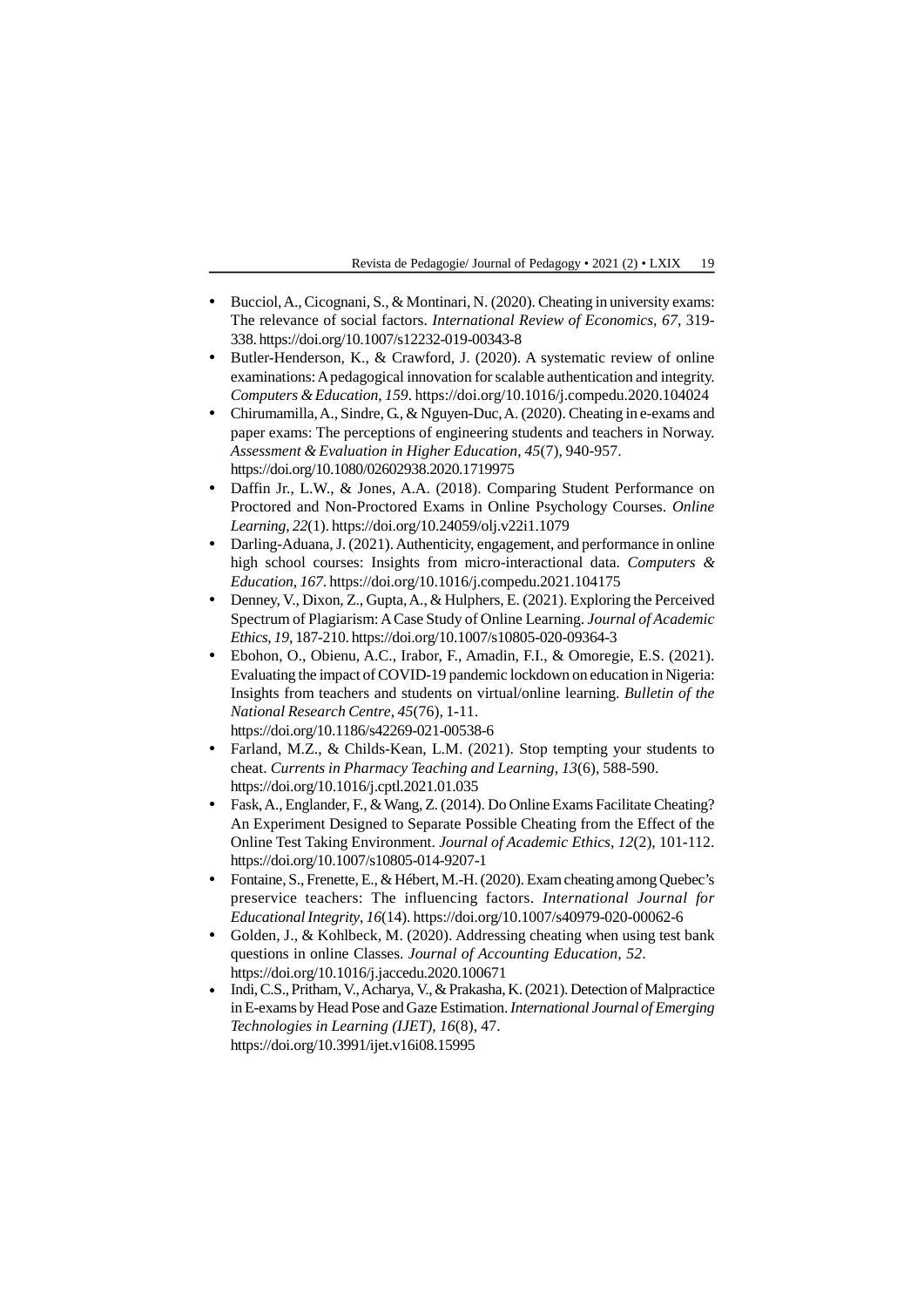- Bucciol, A., Cicognani, S., & Montinari, N. (2020). Cheating in university exams: The relevance of social factors. *International Review of Economics*, *67*, 319- 338. https://doi.org/10.1007/s12232-019-00343-8
- Butler-Henderson, K., & Crawford, J. (2020). A systematic review of online examinations: A pedagogical innovation for scalable authentication and integrity. *Computers & Education*, *159*. https://doi.org/10.1016/j.compedu.2020.104024
- Chirumamilla, A., Sindre, G., & Nguyen-Duc, A. (2020). Cheating in e-exams and paper exams: The perceptions of engineering students and teachers in Norway. *Assessment & Evaluation in Higher Education*, *45*(7), 940-957. https://doi.org/10.1080/02602938.2020.1719975
- Daffin Jr., L.W., & Jones, A.A. (2018). Comparing Student Performance on Proctored and Non-Proctored Exams in Online Psychology Courses. *Online Learning*, *22*(1). https://doi.org/10.24059/olj.v22i1.1079
- Darling-Aduana, J. (2021). Authenticity, engagement, and performance in online high school courses: Insights from micro-interactional data. *Computers & Education*, *167*. https://doi.org/10.1016/j.compedu.2021.104175
- Denney, V., Dixon, Z., Gupta, A., & Hulphers, E. (2021). Exploring the Perceived Spectrum of Plagiarism: A Case Study of Online Learning. *Journal of Academic Ethics*, *19*, 187-210. https://doi.org/10.1007/s10805-020-09364-3
- Ebohon, O., Obienu, A.C., Irabor, F., Amadin, F.I., & Omoregie, E.S. (2021). Evaluating the impact of COVID-19 pandemic lockdown on education in Nigeria: Insights from teachers and students on virtual/online learning. *Bulletin of the National Research Centre*, *45*(76), 1-11. https://doi.org/10.1186/s42269-021-00538-6
- Farland, M.Z., & Childs-Kean, L.M. (2021). Stop tempting your students to cheat. *Currents in Pharmacy Teaching and Learning*, *13*(6), 588-590. https://doi.org/10.1016/j.cptl.2021.01.035
- Fask, A., Englander, F., & Wang, Z. (2014). Do Online Exams Facilitate Cheating? An Experiment Designed to Separate Possible Cheating from the Effect of the Online Test Taking Environment. *Journal of Academic Ethics*, *12*(2), 101-112. https://doi.org/10.1007/s10805-014-9207-1
- Fontaine, S., Frenette, E., & Hébert, M.-H. (2020). Exam cheating among Quebec's preservice teachers: The influencing factors. *International Journal for Educational Integrity*, *16*(14). https://doi.org/10.1007/s40979-020-00062-6
- Golden, J., & Kohlbeck, M. (2020). Addressing cheating when using test bank questions in online Classes. *Journal of Accounting Education*, *52*. https://doi.org/10.1016/j.jaccedu.2020.100671
- Indi, C.S., Pritham, V., Acharya, V., & Prakasha, K. (2021). Detection of Malpractice in E-exams by Head Pose and Gaze Estimation.*International Journal of Emerging Technologies in Learning (IJET)*, *16*(8), 47. https://doi.org/10.3991/ijet.v16i08.15995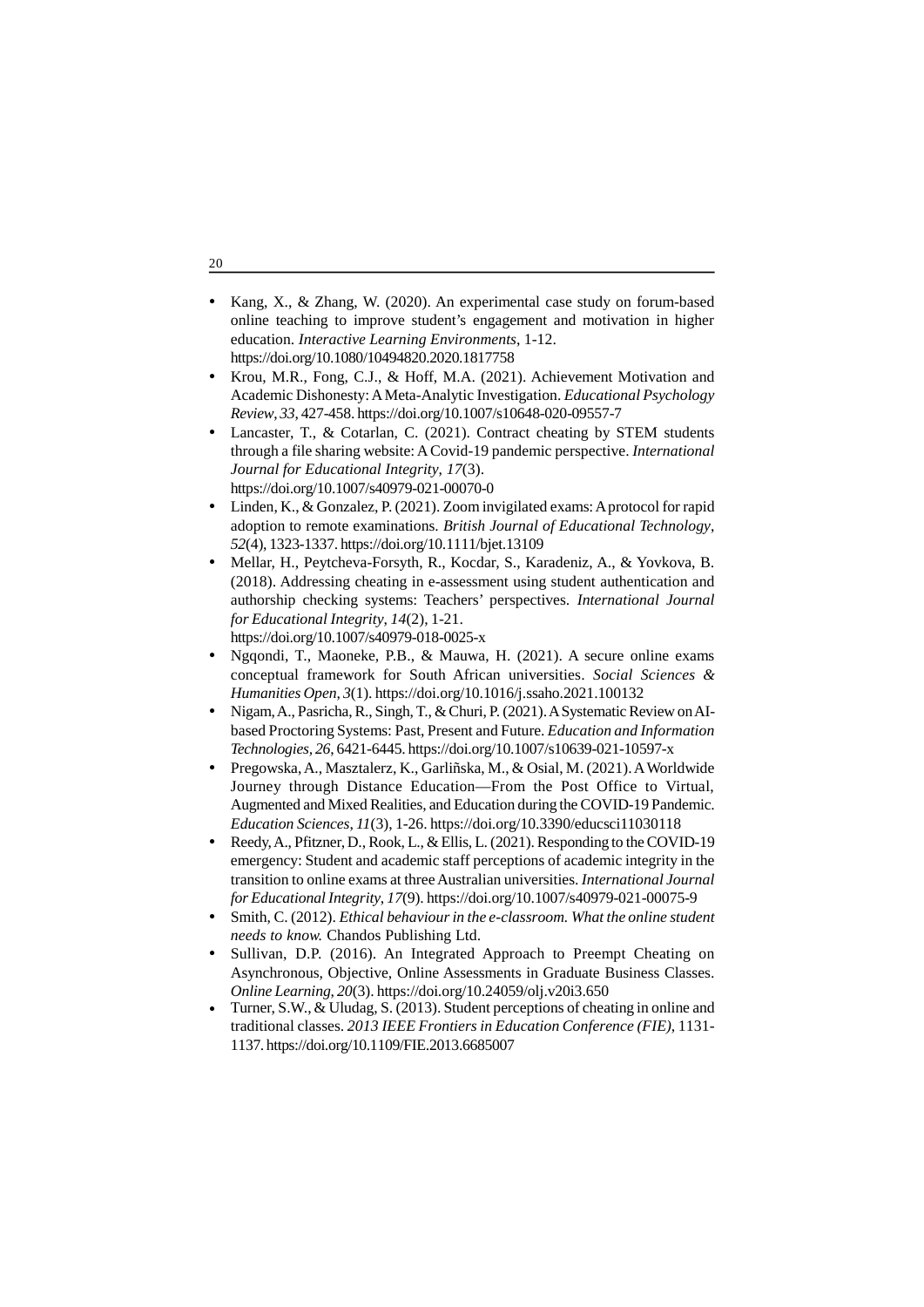- Kang, X., & Zhang, W. (2020). An experimental case study on forum-based online teaching to improve student's engagement and motivation in higher education. *Interactive Learning Environments*, 1-12. https://doi.org/10.1080/10494820.2020.1817758
- Krou, M.R., Fong, C.J., & Hoff, M.A. (2021). Achievement Motivation and Academic Dishonesty: A Meta-Analytic Investigation. *Educational Psychology Review*, *33*, 427-458. https://doi.org/10.1007/s10648-020-09557-7
- Lancaster, T., & Cotarlan, C. (2021). Contract cheating by STEM students through a file sharing website: A Covid-19 pandemic perspective. *International Journal for Educational Integrity*, *17*(3). https://doi.org/10.1007/s40979-021-00070-0
- Linden, K., & Gonzalez, P. (2021). Zoom invigilated exams: A protocol for rapid adoption to remote examinations. *British Journal of Educational Technology*, *52*(4), 1323-1337. https://doi.org/10.1111/bjet.13109
- Mellar, H., Peytcheva-Forsyth, R., Kocdar, S., Karadeniz, A., & Yovkova, B. (2018). Addressing cheating in e-assessment using student authentication and authorship checking systems: Teachers' perspectives. *International Journal for Educational Integrity*, *14*(2), 1-21. https://doi.org/10.1007/s40979-018-0025-x
- Ngqondi, T., Maoneke, P.B., & Mauwa, H. (2021). A secure online exams conceptual framework for South African universities. *Social Sciences & Humanities Open*, *3*(1). https://doi.org/10.1016/j.ssaho.2021.100132
- Nigam, A., Pasricha, R., Singh, T., & Churi, P. (2021). A Systematic Review on AIbased Proctoring Systems: Past, Present and Future. *Education and Information Technologies, 26*, 6421-6445. https://doi.org/10.1007/s10639-021-10597-x
- Pregowska, A., Masztalerz, K., Garliñska, M., & Osial, M. (2021). A Worldwide Journey through Distance Education—From the Post Office to Virtual, Augmented and Mixed Realities, and Education during the COVID-19 Pandemic. *Education Sciences*, *11*(3), 1-26. https://doi.org/10.3390/educsci11030118
- Reedy, A., Pfitzner, D., Rook, L., & Ellis, L. (2021). Responding to the COVID-19 emergency: Student and academic staff perceptions of academic integrity in the transition to online exams at three Australian universities. *International Journal for Educational Integrity*, *17*(9). https://doi.org/10.1007/s40979-021-00075-9
- Smith, C. (2012). *Ethical behaviour in the e-classroom. What the online student needs to know.* Chandos Publishing Ltd.
- Sullivan, D.P. (2016). An Integrated Approach to Preempt Cheating on Asynchronous, Objective, Online Assessments in Graduate Business Classes. *Online Learning*, *20*(3). https://doi.org/10.24059/olj.v20i3.650
- Turner, S.W.,  $\&$  Uludag, S. (2013). Student perceptions of cheating in online and traditional classes. *2013 IEEE Frontiers in Education Conference (FIE)*, 1131- 1137. https://doi.org/10.1109/FIE.2013.6685007